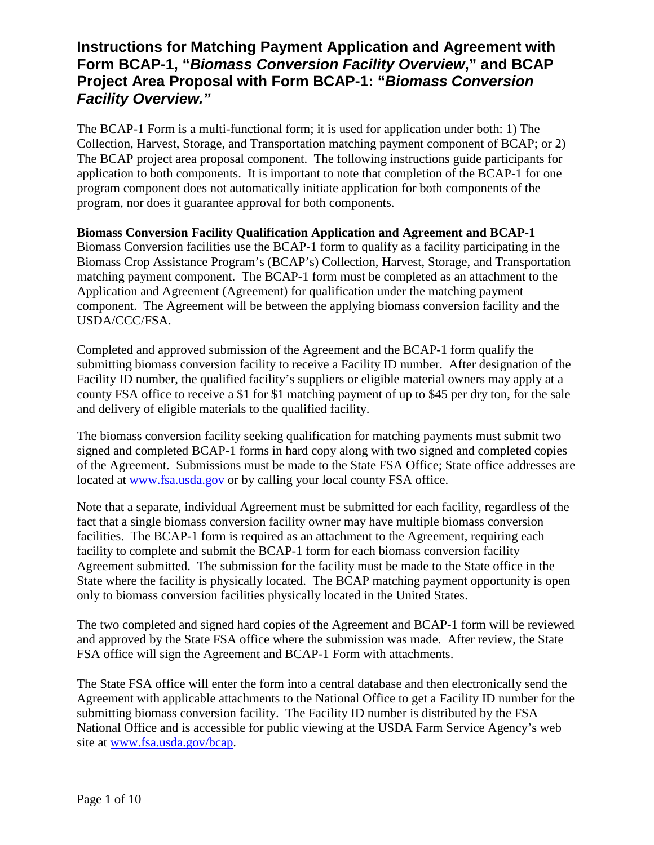## **Instructions for Matching Payment Application and Agreement with Form BCAP-1, "***Biomass Conversion Facility Overview***," and BCAP Project Area Proposal with Form BCAP-1: "***Biomass Conversion Facility Overview."*

The BCAP-1 Form is a multi-functional form; it is used for application under both: 1) The Collection, Harvest, Storage, and Transportation matching payment component of BCAP; or 2) The BCAP project area proposal component. The following instructions guide participants for application to both components. It is important to note that completion of the BCAP-1 for one program component does not automatically initiate application for both components of the program, nor does it guarantee approval for both components.

**Biomass Conversion Facility Qualification Application and Agreement and BCAP-1** Biomass Conversion facilities use the BCAP-1 form to qualify as a facility participating in the Biomass Crop Assistance Program's (BCAP's) Collection, Harvest, Storage, and Transportation matching payment component. The BCAP-1 form must be completed as an attachment to the Application and Agreement (Agreement) for qualification under the matching payment component. The Agreement will be between the applying biomass conversion facility and the USDA/CCC/FSA.

Completed and approved submission of the Agreement and the BCAP-1 form qualify the submitting biomass conversion facility to receive a Facility ID number. After designation of the Facility ID number, the qualified facility's suppliers or eligible material owners may apply at a county FSA office to receive a \$1 for \$1 matching payment of up to \$45 per dry ton, for the sale and delivery of eligible materials to the qualified facility.

The biomass conversion facility seeking qualification for matching payments must submit two signed and completed BCAP-1 forms in hard copy along with two signed and completed copies of the Agreement. Submissions must be made to the State FSA Office; State office addresses are located at [www.fsa.usda.gov](http://www.fsa.usda.gov/) or by calling your local county FSA office.

Note that a separate, individual Agreement must be submitted for each facility, regardless of the fact that a single biomass conversion facility owner may have multiple biomass conversion facilities. The BCAP-1 form is required as an attachment to the Agreement, requiring each facility to complete and submit the BCAP-1 form for each biomass conversion facility Agreement submitted. The submission for the facility must be made to the State office in the State where the facility is physically located. The BCAP matching payment opportunity is open only to biomass conversion facilities physically located in the United States.

The two completed and signed hard copies of the Agreement and BCAP-1 form will be reviewed and approved by the State FSA office where the submission was made. After review, the State FSA office will sign the Agreement and BCAP-1 Form with attachments.

The State FSA office will enter the form into a central database and then electronically send the Agreement with applicable attachments to the National Office to get a Facility ID number for the submitting biomass conversion facility. The Facility ID number is distributed by the FSA National Office and is accessible for public viewing at the USDA Farm Service Agency's web site at [www.fsa.usda.gov/bcap.](http://www.fsa.usda.gov/bcap)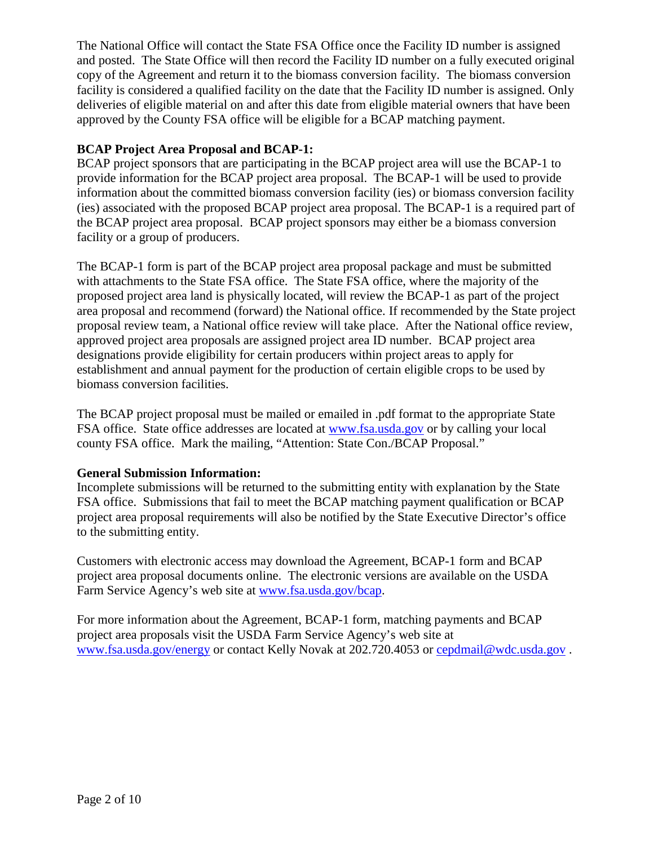The National Office will contact the State FSA Office once the Facility ID number is assigned and posted. The State Office will then record the Facility ID number on a fully executed original copy of the Agreement and return it to the biomass conversion facility. The biomass conversion facility is considered a qualified facility on the date that the Facility ID number is assigned. Only deliveries of eligible material on and after this date from eligible material owners that have been approved by the County FSA office will be eligible for a BCAP matching payment.

## **BCAP Project Area Proposal and BCAP-1:**

BCAP project sponsors that are participating in the BCAP project area will use the BCAP-1 to provide information for the BCAP project area proposal. The BCAP-1 will be used to provide information about the committed biomass conversion facility (ies) or biomass conversion facility (ies) associated with the proposed BCAP project area proposal. The BCAP-1 is a required part of the BCAP project area proposal. BCAP project sponsors may either be a biomass conversion facility or a group of producers.

The BCAP-1 form is part of the BCAP project area proposal package and must be submitted with attachments to the State FSA office. The State FSA office, where the majority of the proposed project area land is physically located, will review the BCAP-1 as part of the project area proposal and recommend (forward) the National office. If recommended by the State project proposal review team, a National office review will take place. After the National office review, approved project area proposals are assigned project area ID number. BCAP project area designations provide eligibility for certain producers within project areas to apply for establishment and annual payment for the production of certain eligible crops to be used by biomass conversion facilities.

The BCAP project proposal must be mailed or emailed in .pdf format to the appropriate State FSA office. State office addresses are located at [www.fsa.usda.gov](http://www.fsa.usda.gov/) or by calling your local county FSA office. Mark the mailing, "Attention: State Con./BCAP Proposal."

## **General Submission Information:**

Incomplete submissions will be returned to the submitting entity with explanation by the State FSA office. Submissions that fail to meet the BCAP matching payment qualification or BCAP project area proposal requirements will also be notified by the State Executive Director's office to the submitting entity.

Customers with electronic access may download the Agreement, BCAP-1 form and BCAP project area proposal documents online. The electronic versions are available on the USDA Farm Service Agency's web site at [www.fsa.usda.gov/bcap.](http://www.fsa.usda.gov/bcap)

For more information about the Agreement, BCAP-1 form, matching payments and BCAP project area proposals visit the USDA Farm Service Agency's web site at [www.fsa.usda.gov/energy](http://www.fsa.usda.gov/energy) or contact Kelly Novak at 202.720.4053 or [cepdmail@wdc.usda.gov](mailto:cepdmail@wdc.usda.gov) .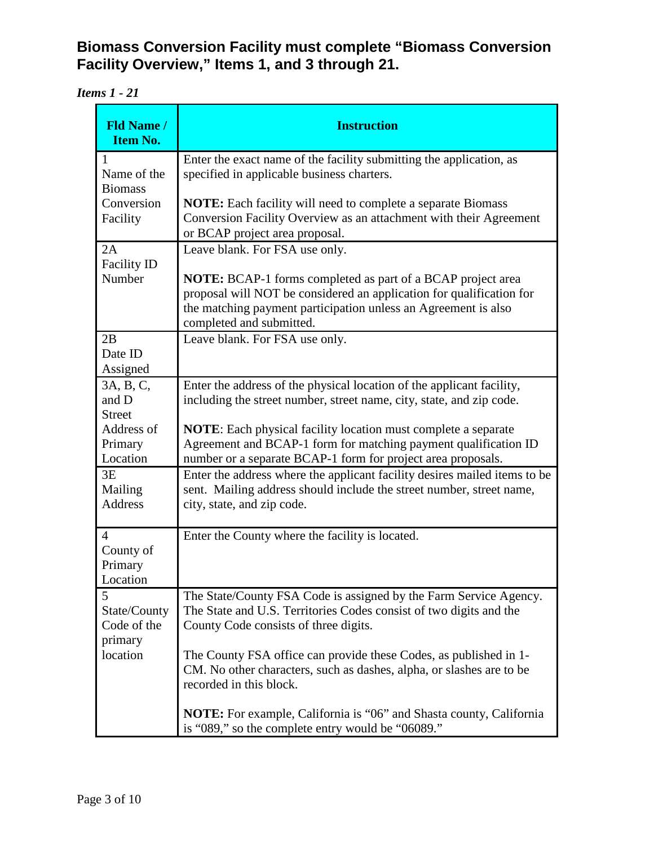**Biomass Conversion Facility must complete "Biomass Conversion Facility Overview," Items 1, and 3 through 21.** 

*Items 1 - 21*

| <b>Fld Name /</b><br><b>Item No.</b>                         | <b>Instruction</b>                                                                                                                                                                                                                       |
|--------------------------------------------------------------|------------------------------------------------------------------------------------------------------------------------------------------------------------------------------------------------------------------------------------------|
| 1<br>Name of the<br><b>Biomass</b><br>Conversion<br>Facility | Enter the exact name of the facility submitting the application, as<br>specified in applicable business charters.                                                                                                                        |
|                                                              | <b>NOTE:</b> Each facility will need to complete a separate Biomass<br>Conversion Facility Overview as an attachment with their Agreement<br>or BCAP project area proposal.                                                              |
| 2A<br><b>Facility ID</b>                                     | Leave blank. For FSA use only.                                                                                                                                                                                                           |
| Number                                                       | <b>NOTE:</b> BCAP-1 forms completed as part of a BCAP project area<br>proposal will NOT be considered an application for qualification for<br>the matching payment participation unless an Agreement is also<br>completed and submitted. |
| 2B<br>Date ID<br>Assigned                                    | Leave blank. For FSA use only.                                                                                                                                                                                                           |
| 3A, B, C,<br>and D<br><b>Street</b>                          | Enter the address of the physical location of the applicant facility,<br>including the street number, street name, city, state, and zip code.                                                                                            |
| Address of<br>Primary<br>Location                            | <b>NOTE:</b> Each physical facility location must complete a separate<br>Agreement and BCAP-1 form for matching payment qualification ID<br>number or a separate BCAP-1 form for project area proposals.                                 |
| 3E<br>Mailing<br><b>Address</b>                              | Enter the address where the applicant facility desires mailed items to be<br>sent. Mailing address should include the street number, street name,<br>city, state, and zip code.                                                          |
| 4<br>County of<br>Primary<br>Location                        | Enter the County where the facility is located.                                                                                                                                                                                          |
| 5<br>State/County<br>Code of the<br>primary<br>location      | The State/County FSA Code is assigned by the Farm Service Agency.<br>The State and U.S. Territories Codes consist of two digits and the<br>County Code consists of three digits.                                                         |
|                                                              | The County FSA office can provide these Codes, as published in 1-<br>CM. No other characters, such as dashes, alpha, or slashes are to be<br>recorded in this block.                                                                     |
|                                                              | <b>NOTE:</b> For example, California is "06" and Shasta county, California<br>is "089," so the complete entry would be "06089."                                                                                                          |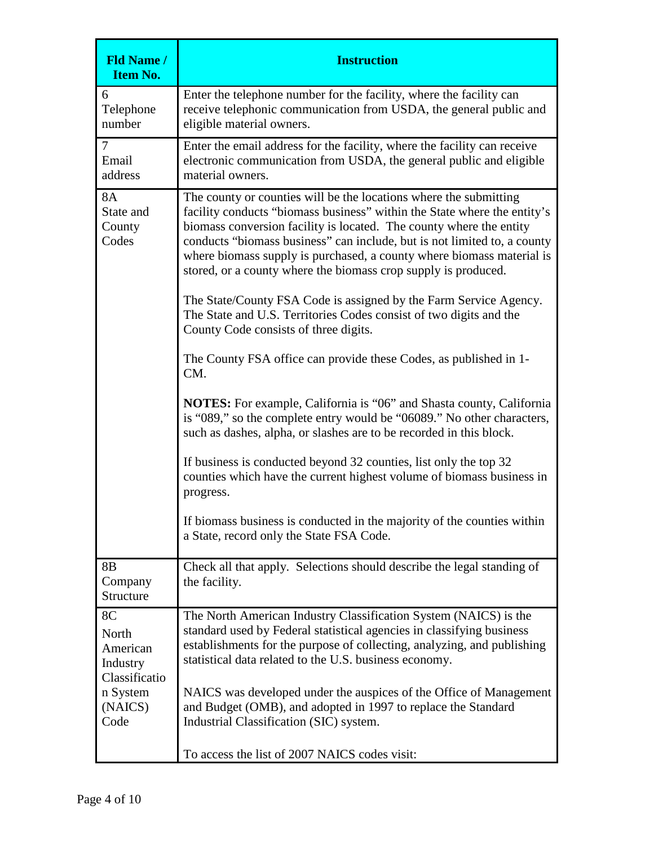| <b>Fld Name /</b><br><b>Item No.</b>                                                | <b>Instruction</b>                                                                                                                                                                                                                                                                                                                                                                                                                          |
|-------------------------------------------------------------------------------------|---------------------------------------------------------------------------------------------------------------------------------------------------------------------------------------------------------------------------------------------------------------------------------------------------------------------------------------------------------------------------------------------------------------------------------------------|
| 6<br>Telephone<br>number                                                            | Enter the telephone number for the facility, where the facility can<br>receive telephonic communication from USDA, the general public and<br>eligible material owners.                                                                                                                                                                                                                                                                      |
| $\tau$<br>Email<br>address                                                          | Enter the email address for the facility, where the facility can receive<br>electronic communication from USDA, the general public and eligible<br>material owners.                                                                                                                                                                                                                                                                         |
| <b>8A</b><br>State and<br>County<br>Codes                                           | The county or counties will be the locations where the submitting<br>facility conducts "biomass business" within the State where the entity's<br>biomass conversion facility is located. The county where the entity<br>conducts "biomass business" can include, but is not limited to, a county<br>where biomass supply is purchased, a county where biomass material is<br>stored, or a county where the biomass crop supply is produced. |
|                                                                                     | The State/County FSA Code is assigned by the Farm Service Agency.<br>The State and U.S. Territories Codes consist of two digits and the<br>County Code consists of three digits.                                                                                                                                                                                                                                                            |
|                                                                                     | The County FSA office can provide these Codes, as published in 1-<br>CM.                                                                                                                                                                                                                                                                                                                                                                    |
|                                                                                     | <b>NOTES:</b> For example, California is "06" and Shasta county, California<br>is "089," so the complete entry would be "06089." No other characters,<br>such as dashes, alpha, or slashes are to be recorded in this block.                                                                                                                                                                                                                |
|                                                                                     | If business is conducted beyond 32 counties, list only the top 32<br>counties which have the current highest volume of biomass business in<br>progress.                                                                                                                                                                                                                                                                                     |
|                                                                                     | If biomass business is conducted in the majority of the counties within<br>a State, record only the State FSA Code.                                                                                                                                                                                                                                                                                                                         |
| 8 <sub>B</sub><br>Company<br>Structure                                              | Check all that apply. Selections should describe the legal standing of<br>the facility.                                                                                                                                                                                                                                                                                                                                                     |
| 8C<br>North<br>American<br>Industry<br>Classificatio<br>n System<br>(NAICS)<br>Code | The North American Industry Classification System (NAICS) is the<br>standard used by Federal statistical agencies in classifying business<br>establishments for the purpose of collecting, analyzing, and publishing<br>statistical data related to the U.S. business economy.                                                                                                                                                              |
|                                                                                     | NAICS was developed under the auspices of the Office of Management<br>and Budget (OMB), and adopted in 1997 to replace the Standard<br>Industrial Classification (SIC) system.                                                                                                                                                                                                                                                              |
|                                                                                     | To access the list of 2007 NAICS codes visit:                                                                                                                                                                                                                                                                                                                                                                                               |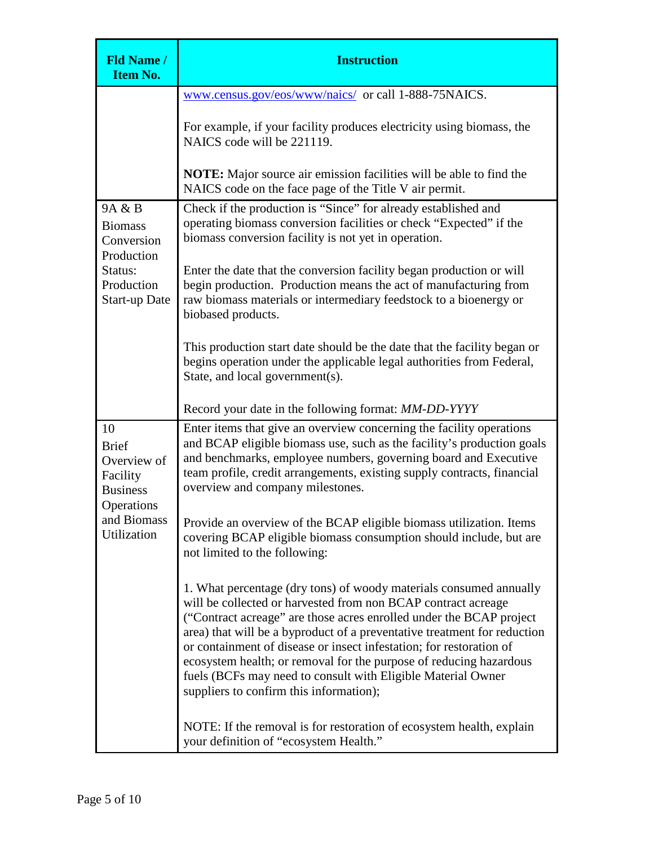| <b>Fld Name /</b><br><b>Item No.</b>                                                                         | <b>Instruction</b>                                                                                                                                                                                                                                                                                                                                                                                                                                                                                                                             |
|--------------------------------------------------------------------------------------------------------------|------------------------------------------------------------------------------------------------------------------------------------------------------------------------------------------------------------------------------------------------------------------------------------------------------------------------------------------------------------------------------------------------------------------------------------------------------------------------------------------------------------------------------------------------|
|                                                                                                              | www.census.gov/eos/www/naics/ or call 1-888-75NAICS.                                                                                                                                                                                                                                                                                                                                                                                                                                                                                           |
|                                                                                                              | For example, if your facility produces electricity using biomass, the<br>NAICS code will be 221119.                                                                                                                                                                                                                                                                                                                                                                                                                                            |
|                                                                                                              | <b>NOTE:</b> Major source air emission facilities will be able to find the<br>NAICS code on the face page of the Title V air permit.                                                                                                                                                                                                                                                                                                                                                                                                           |
| 9A & B<br><b>Biomass</b><br>Conversion<br>Production<br>Status:<br>Production<br><b>Start-up Date</b>        | Check if the production is "Since" for already established and<br>operating biomass conversion facilities or check "Expected" if the<br>biomass conversion facility is not yet in operation.                                                                                                                                                                                                                                                                                                                                                   |
|                                                                                                              | Enter the date that the conversion facility began production or will<br>begin production. Production means the act of manufacturing from<br>raw biomass materials or intermediary feedstock to a bioenergy or<br>biobased products.                                                                                                                                                                                                                                                                                                            |
|                                                                                                              | This production start date should be the date that the facility began or<br>begins operation under the applicable legal authorities from Federal,<br>State, and local government(s).                                                                                                                                                                                                                                                                                                                                                           |
|                                                                                                              | Record your date in the following format: MM-DD-YYYY                                                                                                                                                                                                                                                                                                                                                                                                                                                                                           |
| 10<br><b>Brief</b><br>Overview of<br>Facility<br><b>Business</b><br>Operations<br>and Biomass<br>Utilization | Enter items that give an overview concerning the facility operations<br>and BCAP eligible biomass use, such as the facility's production goals<br>and benchmarks, employee numbers, governing board and Executive<br>team profile, credit arrangements, existing supply contracts, financial<br>overview and company milestones.                                                                                                                                                                                                               |
|                                                                                                              | Provide an overview of the BCAP eligible biomass utilization. Items<br>covering BCAP eligible biomass consumption should include, but are<br>not limited to the following:                                                                                                                                                                                                                                                                                                                                                                     |
|                                                                                                              | 1. What percentage (dry tons) of woody materials consumed annually<br>will be collected or harvested from non BCAP contract acreage<br>("Contract acreage" are those acres enrolled under the BCAP project<br>area) that will be a byproduct of a preventative treatment for reduction<br>or containment of disease or insect infestation; for restoration of<br>ecosystem health; or removal for the purpose of reducing hazardous<br>fuels (BCFs may need to consult with Eligible Material Owner<br>suppliers to confirm this information); |
|                                                                                                              | NOTE: If the removal is for restoration of ecosystem health, explain<br>your definition of "ecosystem Health."                                                                                                                                                                                                                                                                                                                                                                                                                                 |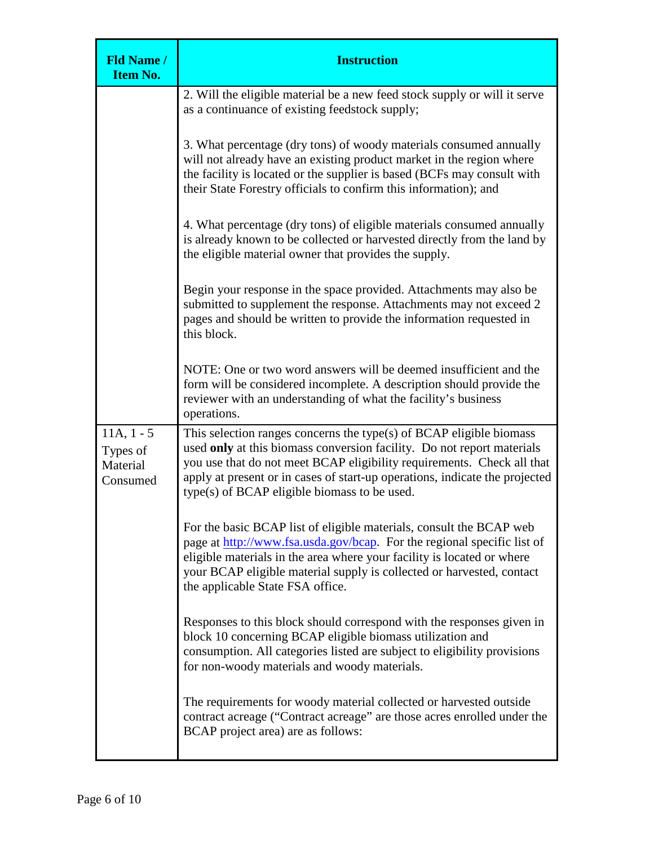| <b>Fld Name /</b><br><b>Item No.</b>             | <b>Instruction</b>                                                                                                                                                                                                                                                                                                                                       |
|--------------------------------------------------|----------------------------------------------------------------------------------------------------------------------------------------------------------------------------------------------------------------------------------------------------------------------------------------------------------------------------------------------------------|
|                                                  | 2. Will the eligible material be a new feed stock supply or will it serve<br>as a continuance of existing feedstock supply;                                                                                                                                                                                                                              |
|                                                  | 3. What percentage (dry tons) of woody materials consumed annually<br>will not already have an existing product market in the region where<br>the facility is located or the supplier is based (BCFs may consult with<br>their State Forestry officials to confirm this information); and                                                                |
|                                                  | 4. What percentage (dry tons) of eligible materials consumed annually<br>is already known to be collected or harvested directly from the land by<br>the eligible material owner that provides the supply.                                                                                                                                                |
|                                                  | Begin your response in the space provided. Attachments may also be<br>submitted to supplement the response. Attachments may not exceed 2<br>pages and should be written to provide the information requested in<br>this block.                                                                                                                           |
|                                                  | NOTE: One or two word answers will be deemed insufficient and the<br>form will be considered incomplete. A description should provide the<br>reviewer with an understanding of what the facility's business<br>operations.                                                                                                                               |
| $11A, 1 - 5$<br>Types of<br>Material<br>Consumed | This selection ranges concerns the type(s) of $BCAP$ eligible biomass<br>used only at this biomass conversion facility. Do not report materials<br>you use that do not meet BCAP eligibility requirements. Check all that<br>apply at present or in cases of start-up operations, indicate the projected<br>type(s) of BCAP eligible biomass to be used. |
|                                                  | For the basic BCAP list of eligible materials, consult the BCAP web<br>page at http://www.fsa.usda.gov/bcap. For the regional specific list of<br>eligible materials in the area where your facility is located or where<br>your BCAP eligible material supply is collected or harvested, contact<br>the applicable State FSA office.                    |
|                                                  | Responses to this block should correspond with the responses given in<br>block 10 concerning BCAP eligible biomass utilization and<br>consumption. All categories listed are subject to eligibility provisions<br>for non-woody materials and woody materials.                                                                                           |
|                                                  | The requirements for woody material collected or harvested outside<br>contract acreage ("Contract acreage" are those acres enrolled under the<br>BCAP project area) are as follows:                                                                                                                                                                      |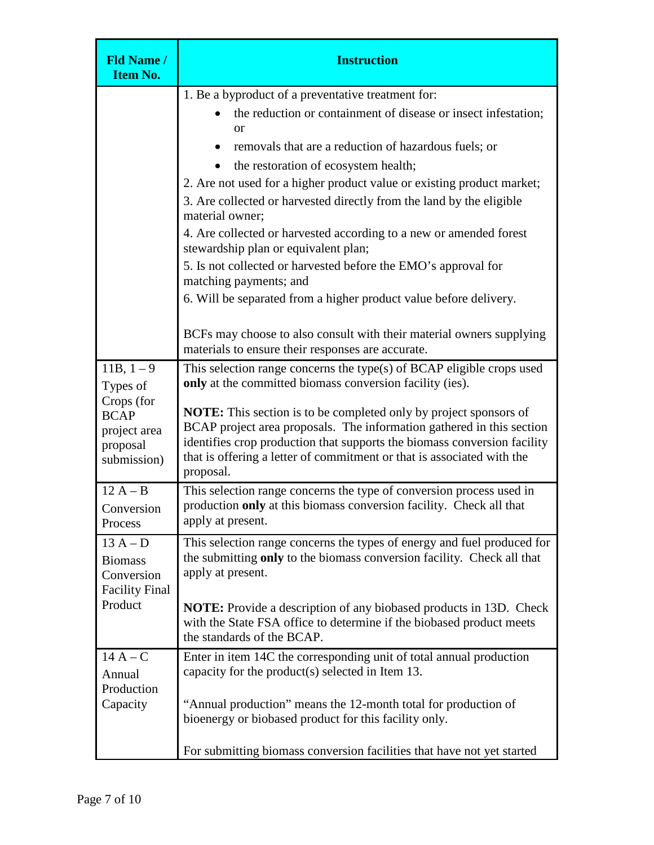| <b>Fld Name /</b><br><b>Item No.</b>                                                           | <b>Instruction</b>                                                                                                                                                                                                                                                                                                                                                                                                                                                                                                                                                                                                                                                                    |
|------------------------------------------------------------------------------------------------|---------------------------------------------------------------------------------------------------------------------------------------------------------------------------------------------------------------------------------------------------------------------------------------------------------------------------------------------------------------------------------------------------------------------------------------------------------------------------------------------------------------------------------------------------------------------------------------------------------------------------------------------------------------------------------------|
|                                                                                                | 1. Be a byproduct of a preventative treatment for:<br>the reduction or containment of disease or insect infestation;<br><b>or</b><br>removals that are a reduction of hazardous fuels; or<br>the restoration of ecosystem health;<br>2. Are not used for a higher product value or existing product market;<br>3. Are collected or harvested directly from the land by the eligible<br>material owner;<br>4. Are collected or harvested according to a new or amended forest<br>stewardship plan or equivalent plan;<br>5. Is not collected or harvested before the EMO's approval for<br>matching payments; and<br>6. Will be separated from a higher product value before delivery. |
|                                                                                                | BCFs may choose to also consult with their material owners supplying<br>materials to ensure their responses are accurate.                                                                                                                                                                                                                                                                                                                                                                                                                                                                                                                                                             |
| $11B, 1-9$<br>Types of<br>Crops (for<br><b>BCAP</b><br>project area<br>proposal<br>submission) | This selection range concerns the type(s) of BCAP eligible crops used<br>only at the committed biomass conversion facility (ies).<br><b>NOTE:</b> This section is to be completed only by project sponsors of<br>BCAP project area proposals. The information gathered in this section<br>identifies crop production that supports the biomass conversion facility<br>that is offering a letter of commitment or that is associated with the<br>proposal.                                                                                                                                                                                                                             |
| $12A - B$<br>Conversion<br>Process                                                             | This selection range concerns the type of conversion process used in<br>production only at this biomass conversion facility. Check all that<br>apply at present.                                                                                                                                                                                                                                                                                                                                                                                                                                                                                                                      |
| $13A-D$<br><b>Biomass</b><br>Conversion<br><b>Facility Final</b><br>Product                    | This selection range concerns the types of energy and fuel produced for<br>the submitting only to the biomass conversion facility. Check all that<br>apply at present.<br><b>NOTE:</b> Provide a description of any biobased products in 13D. Check<br>with the State FSA office to determine if the biobased product meets<br>the standards of the BCAP.                                                                                                                                                                                                                                                                                                                             |
| $14A-C$<br>Annual<br>Production<br>Capacity                                                    | Enter in item 14C the corresponding unit of total annual production<br>capacity for the product(s) selected in Item 13.<br>"Annual production" means the 12-month total for production of<br>bioenergy or biobased product for this facility only.<br>For submitting biomass conversion facilities that have not yet started                                                                                                                                                                                                                                                                                                                                                          |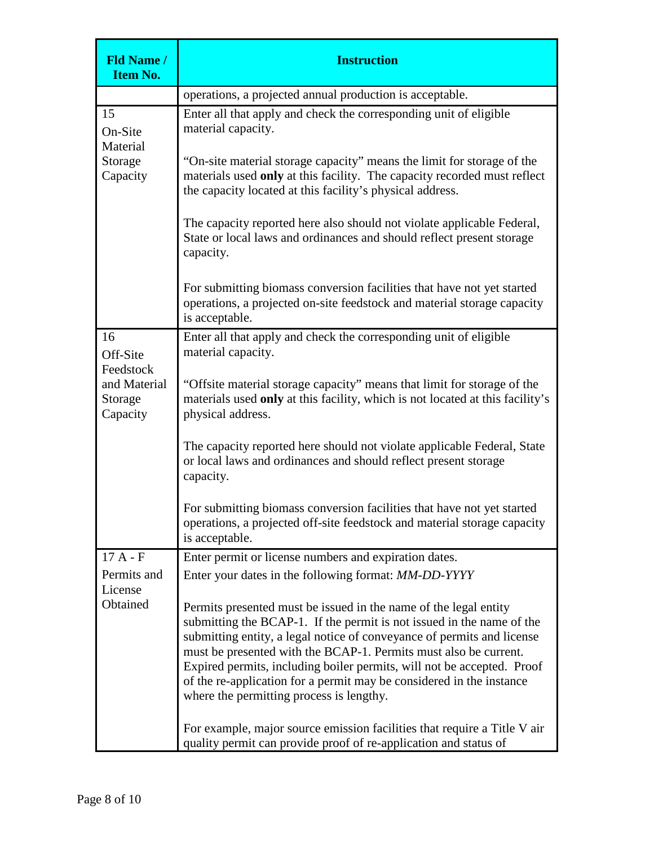| <b>Fld Name /</b><br><b>Item No.</b>             | <b>Instruction</b>                                                                                                                                                                                                                                                                                                                                                                                                                                                                    |
|--------------------------------------------------|---------------------------------------------------------------------------------------------------------------------------------------------------------------------------------------------------------------------------------------------------------------------------------------------------------------------------------------------------------------------------------------------------------------------------------------------------------------------------------------|
|                                                  | operations, a projected annual production is acceptable.                                                                                                                                                                                                                                                                                                                                                                                                                              |
| 15<br>On-Site<br>Material<br>Storage<br>Capacity | Enter all that apply and check the corresponding unit of eligible<br>material capacity.<br>"On-site material storage capacity" means the limit for storage of the<br>materials used only at this facility. The capacity recorded must reflect<br>the capacity located at this facility's physical address.                                                                                                                                                                            |
|                                                  | The capacity reported here also should not violate applicable Federal,<br>State or local laws and ordinances and should reflect present storage<br>capacity.                                                                                                                                                                                                                                                                                                                          |
|                                                  | For submitting biomass conversion facilities that have not yet started<br>operations, a projected on-site feedstock and material storage capacity<br>is acceptable.                                                                                                                                                                                                                                                                                                                   |
| 16<br>Off-Site<br>Feedstock                      | Enter all that apply and check the corresponding unit of eligible<br>material capacity.                                                                                                                                                                                                                                                                                                                                                                                               |
| and Material<br>Storage<br>Capacity              | "Offsite material storage capacity" means that limit for storage of the<br>materials used only at this facility, which is not located at this facility's<br>physical address.                                                                                                                                                                                                                                                                                                         |
|                                                  | The capacity reported here should not violate applicable Federal, State<br>or local laws and ordinances and should reflect present storage<br>capacity.                                                                                                                                                                                                                                                                                                                               |
|                                                  | For submitting biomass conversion facilities that have not yet started<br>operations, a projected off-site feedstock and material storage capacity<br>is acceptable.                                                                                                                                                                                                                                                                                                                  |
| $17A - F$                                        | Enter permit or license numbers and expiration dates.                                                                                                                                                                                                                                                                                                                                                                                                                                 |
| Permits and                                      | Enter your dates in the following format: MM-DD-YYYY                                                                                                                                                                                                                                                                                                                                                                                                                                  |
| License<br>Obtained                              | Permits presented must be issued in the name of the legal entity<br>submitting the BCAP-1. If the permit is not issued in the name of the<br>submitting entity, a legal notice of conveyance of permits and license<br>must be presented with the BCAP-1. Permits must also be current.<br>Expired permits, including boiler permits, will not be accepted. Proof<br>of the re-application for a permit may be considered in the instance<br>where the permitting process is lengthy. |
|                                                  | For example, major source emission facilities that require a Title V air<br>quality permit can provide proof of re-application and status of                                                                                                                                                                                                                                                                                                                                          |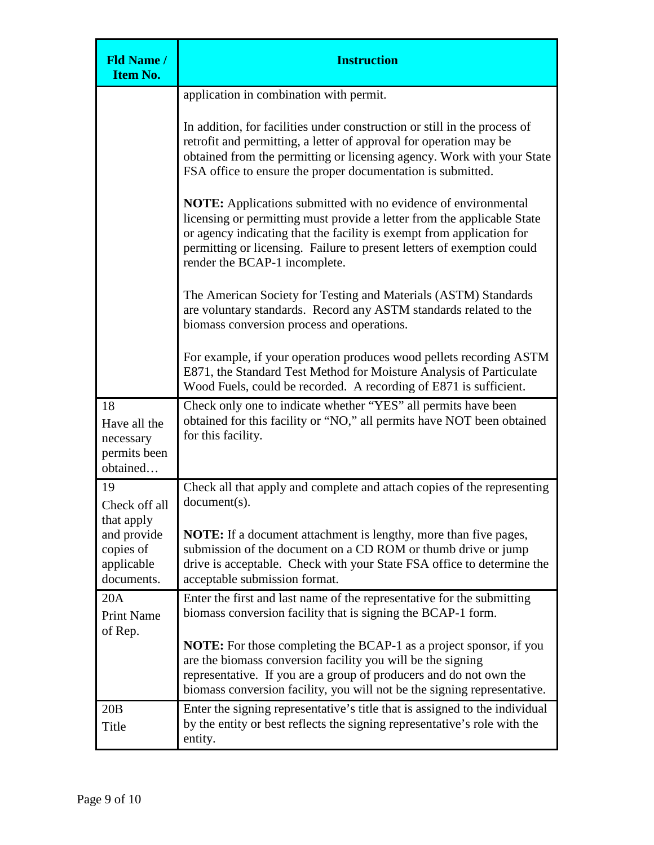| <b>Fld Name /</b><br><b>Item No.</b>                                                      | <b>Instruction</b>                                                                                                                                                                                                                                                                                                                   |
|-------------------------------------------------------------------------------------------|--------------------------------------------------------------------------------------------------------------------------------------------------------------------------------------------------------------------------------------------------------------------------------------------------------------------------------------|
|                                                                                           | application in combination with permit.                                                                                                                                                                                                                                                                                              |
|                                                                                           | In addition, for facilities under construction or still in the process of<br>retrofit and permitting, a letter of approval for operation may be<br>obtained from the permitting or licensing agency. Work with your State<br>FSA office to ensure the proper documentation is submitted.                                             |
|                                                                                           | <b>NOTE:</b> Applications submitted with no evidence of environmental<br>licensing or permitting must provide a letter from the applicable State<br>or agency indicating that the facility is exempt from application for<br>permitting or licensing. Failure to present letters of exemption could<br>render the BCAP-1 incomplete. |
|                                                                                           | The American Society for Testing and Materials (ASTM) Standards<br>are voluntary standards. Record any ASTM standards related to the<br>biomass conversion process and operations.                                                                                                                                                   |
|                                                                                           | For example, if your operation produces wood pellets recording ASTM<br>E871, the Standard Test Method for Moisture Analysis of Particulate<br>Wood Fuels, could be recorded. A recording of E871 is sufficient.                                                                                                                      |
| 18<br>Have all the<br>necessary<br>permits been<br>obtained                               | Check only one to indicate whether "YES" all permits have been<br>obtained for this facility or "NO," all permits have NOT been obtained<br>for this facility.                                                                                                                                                                       |
| 19<br>Check off all<br>that apply<br>and provide<br>copies of<br>applicable<br>documents. | Check all that apply and complete and attach copies of the representing<br>document(s).                                                                                                                                                                                                                                              |
|                                                                                           | NOTE: If a document attachment is lengthy, more than five pages,<br>submission of the document on a CD ROM or thumb drive or jump<br>drive is acceptable. Check with your State FSA office to determine the<br>acceptable submission format.                                                                                         |
| 20A<br><b>Print Name</b><br>of Rep.                                                       | Enter the first and last name of the representative for the submitting<br>biomass conversion facility that is signing the BCAP-1 form.                                                                                                                                                                                               |
|                                                                                           | <b>NOTE:</b> For those completing the BCAP-1 as a project sponsor, if you<br>are the biomass conversion facility you will be the signing<br>representative. If you are a group of producers and do not own the<br>biomass conversion facility, you will not be the signing representative.                                           |
| 20B<br>Title                                                                              | Enter the signing representative's title that is assigned to the individual<br>by the entity or best reflects the signing representative's role with the<br>entity.                                                                                                                                                                  |